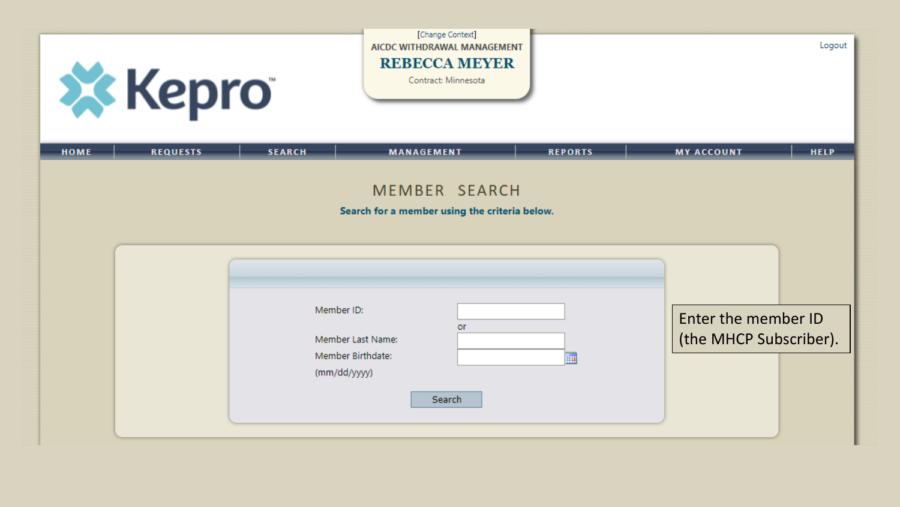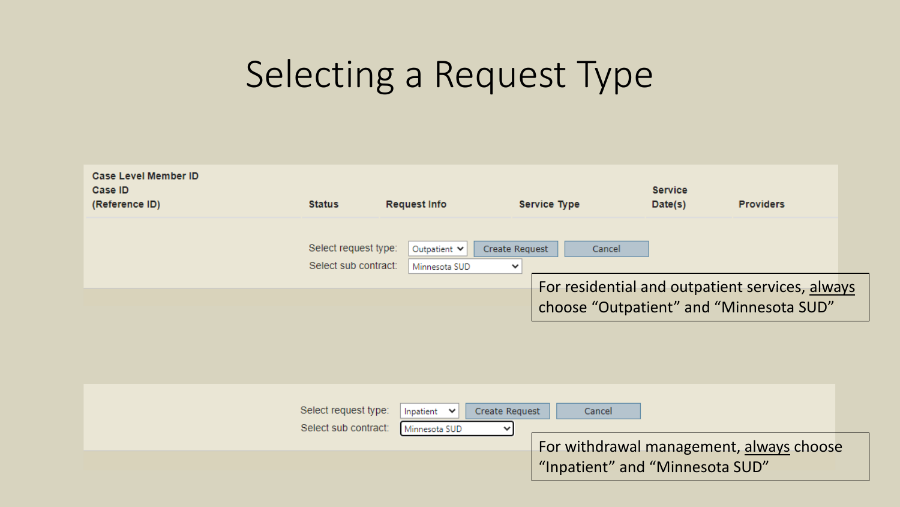# Selecting a Request Type

| Case Level Member ID<br>Case ID<br>(Reference ID) | <b>Status</b>                                | <b>Request Info</b>           | Service Type                             | <b>Service</b><br>Date(s) | <b>Providers</b>                                |
|---------------------------------------------------|----------------------------------------------|-------------------------------|------------------------------------------|---------------------------|-------------------------------------------------|
|                                                   | Select request type:<br>Select sub contract: | Outpatient V<br>Minnesota SUD | Create Request<br>Cancel<br>$\checkmark$ |                           |                                                 |
|                                                   |                                              |                               | choose "Outpatient" and "Minnesota SUD"  |                           | For residential and outpatient services, always |

| Select request type: | Inpatient $\vert \mathbf{v} \vert$<br>Create Request<br>Cancel |
|----------------------|----------------------------------------------------------------|
| Select sub contract: | Minnesota SUD<br>$\checkmark$                                  |
|                      | For withdrawal management, always choose                       |
|                      | "Inpatient" and "Minnesota SUD"                                |
|                      |                                                                |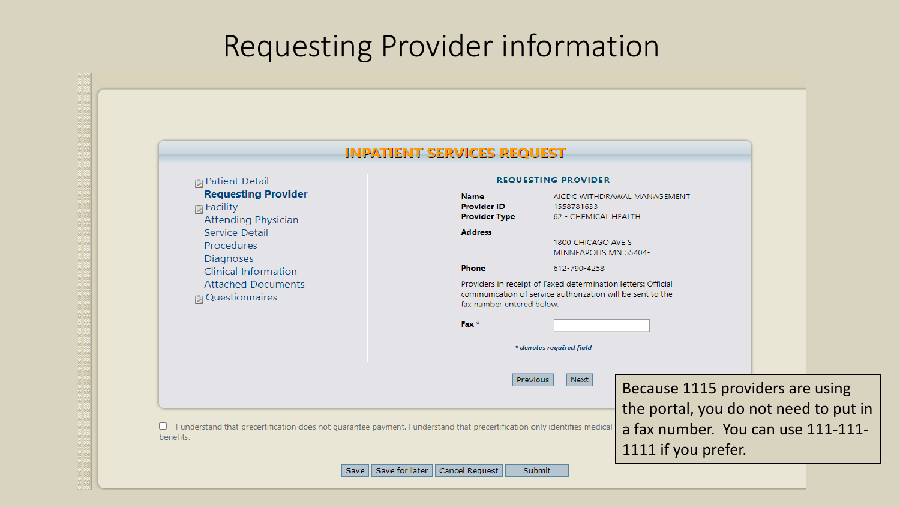#### Requesting Provider information

|                                                                                                                           | <b>INPATIENT SERVICES REQUEST</b>                         |                           |                                             |                                                                                                                             |  |
|---------------------------------------------------------------------------------------------------------------------------|-----------------------------------------------------------|---------------------------|---------------------------------------------|-----------------------------------------------------------------------------------------------------------------------------|--|
| <b>同 Patient Detail</b>                                                                                                   | <b>REQUESTING PROVIDER</b>                                |                           |                                             |                                                                                                                             |  |
| <b>Requesting Provider</b><br>同 Facility<br><b>Attending Physician</b>                                                    | <b>Name</b><br><b>Provider ID</b><br><b>Provider Type</b> |                           | 1558781633<br>62 - CHEMICAL HEALTH          | AICDC WITHDRAWAL MANAGEMENT                                                                                                 |  |
| Service Detail<br>Procedures<br>Diagnoses                                                                                 | <b>Address</b>                                            |                           | 1800 CHICAGO AVE S<br>MINNEAPOLIS MN 55404- |                                                                                                                             |  |
| <b>Clinical Information</b>                                                                                               | <b>Phone</b>                                              |                           | 612-790-4258                                |                                                                                                                             |  |
| <b>Attached Documents</b><br><b>Questionnaires</b>                                                                        |                                                           | fax number entered below. |                                             | Providers in receipt of Faxed determination letters: Official<br>communication of service authorization will be sent to the |  |
|                                                                                                                           | Fax <sup>*</sup>                                          |                           |                                             |                                                                                                                             |  |
|                                                                                                                           |                                                           | * denotes required field  |                                             |                                                                                                                             |  |
|                                                                                                                           |                                                           | Previous                  | Next                                        | Because 1115 providers are using                                                                                            |  |
|                                                                                                                           |                                                           |                           |                                             | the portal, you do not need to put in                                                                                       |  |
| I understand that precertification does not guarantee payment. I understand that precertification only identifies medical |                                                           |                           |                                             | a fax number. You can use 111-111-                                                                                          |  |
| benefits.                                                                                                                 |                                                           |                           |                                             | 1111 if you prefer.                                                                                                         |  |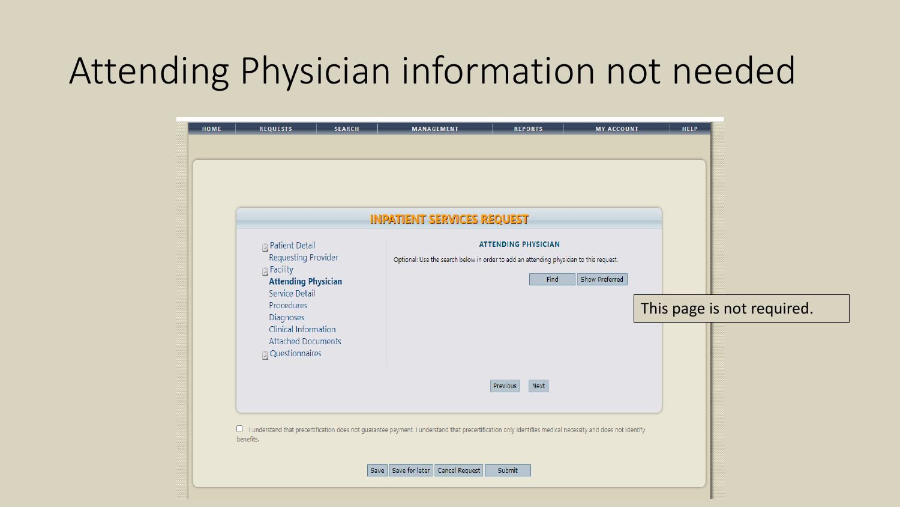## Attending Physician information not needed

| <b>D</b> Patient Detail<br><b>Requesting Provider</b><br><b>同Facility</b><br><b>Attending Physician</b><br><b>Service Detail</b><br>Procedures | <b>INPATIENT SERVICES REQUEST</b> | <b>ATTENDING PHYSICIAN</b><br>Optional: Use the search below in order to add an attending physician to this request. |  |                            |
|------------------------------------------------------------------------------------------------------------------------------------------------|-----------------------------------|----------------------------------------------------------------------------------------------------------------------|--|----------------------------|
| Diagnoses<br><b>Clinical Information</b><br><b>Attached Documents</b><br><b>Questionnaires</b>                                                 |                                   | <b>Show Preferred</b><br>Find                                                                                        |  | This page is not required. |
|                                                                                                                                                |                                   | Next<br>Previous                                                                                                     |  |                            |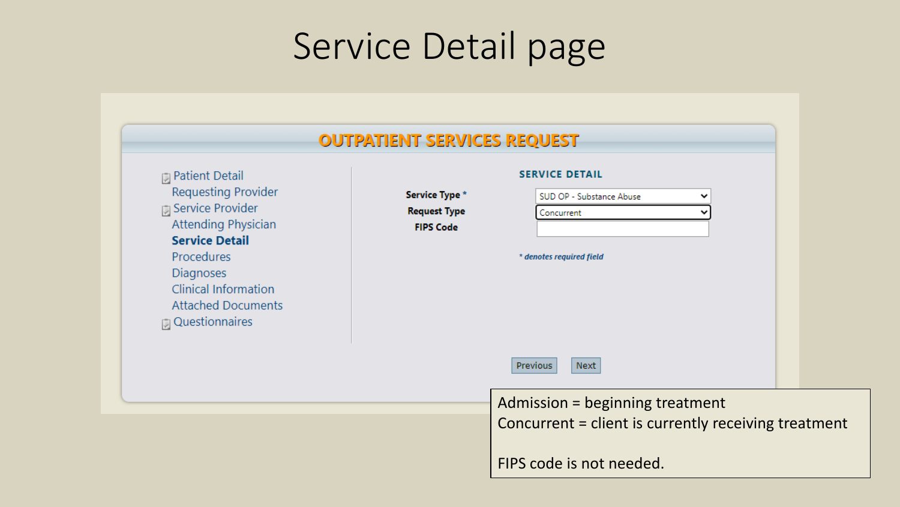# Service Detail page

| 同 Patient Detail<br><b>Requesting Provider</b><br><b>D</b> Service Provider<br><b>Attending Physician</b><br><b>Service Detail</b><br>Procedures<br><b>Diagnoses</b><br><b>Clinical Information</b><br><b>Attached Documents</b><br><b>D</b> Questionnaires | <b>SERVICE DETAIL</b><br>Service Type *<br>SUD OP - Substance Abuse<br><b>Request Type</b><br>Concurrent<br><b>FIPS Code</b><br>* denotes required field | v |
|-------------------------------------------------------------------------------------------------------------------------------------------------------------------------------------------------------------------------------------------------------------|----------------------------------------------------------------------------------------------------------------------------------------------------------|---|
|                                                                                                                                                                                                                                                             | Previous<br>Next                                                                                                                                         |   |
|                                                                                                                                                                                                                                                             | Admission = beginning treatment                                                                                                                          |   |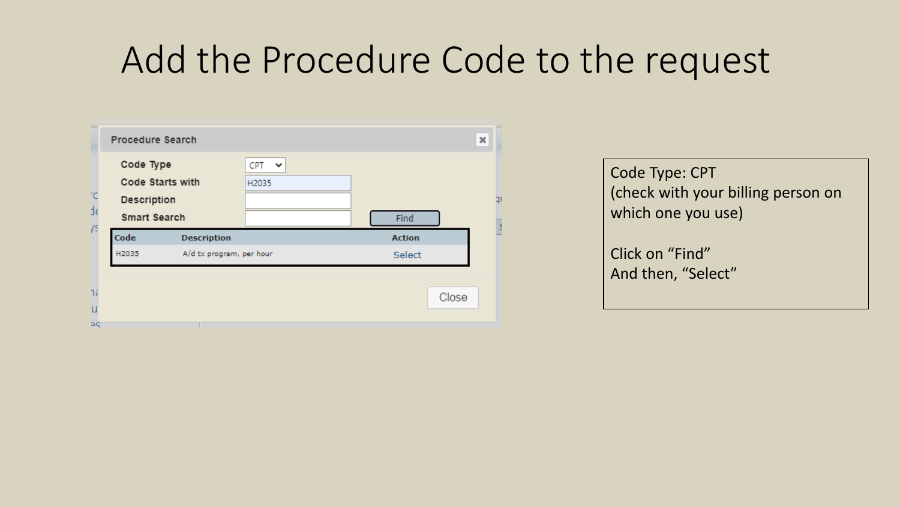### Add the Procedure Code to the request

|          | Procedure Search                                                    |                          |                              |               | $\pmb{\times}$ |    |
|----------|---------------------------------------------------------------------|--------------------------|------------------------------|---------------|----------------|----|
| °C<br>d) | Code Type<br>Code Starts with<br>Description<br><b>Smart Search</b> |                          | CPT<br>$\checkmark$<br>H2035 | Find          |                | ηı |
|          |                                                                     |                          |                              |               |                |    |
| ys       | Code                                                                | <b>Description</b>       |                              | <b>Action</b> |                |    |
|          | H2035                                                               | A/d tx program, per hour |                              | Select        |                |    |

Code Type: CPT (check with your billing person on which one you use)

Click on "Find" And then, "Select"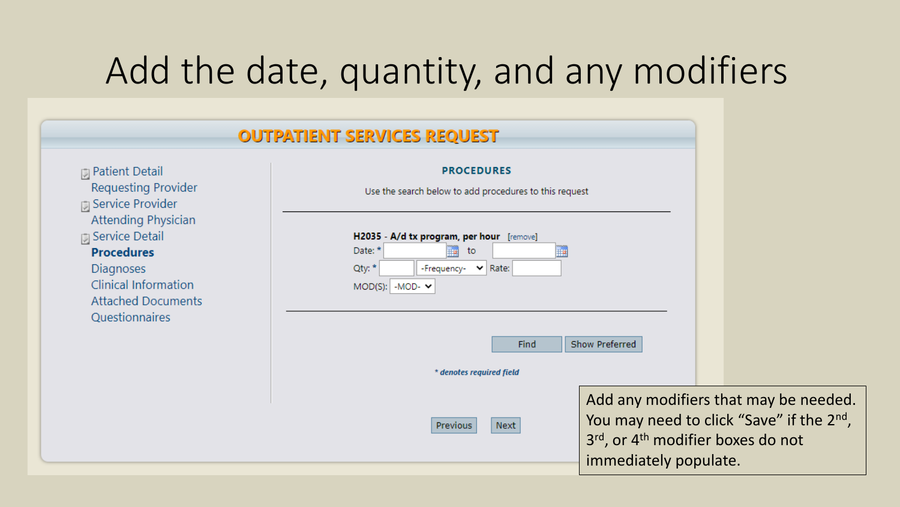# Add the date, quantity, and any modifiers

|                                                                                                                                                                                     | <b>OUTPATIENT SERVICES REQUEST</b>                                                                                                                             |                                                                                                                                                                          |  |  |  |  |
|-------------------------------------------------------------------------------------------------------------------------------------------------------------------------------------|----------------------------------------------------------------------------------------------------------------------------------------------------------------|--------------------------------------------------------------------------------------------------------------------------------------------------------------------------|--|--|--|--|
| $\Box$ Patient Detail<br><b>Requesting Provider</b><br><b>同 Service Provider</b>                                                                                                    | <b>PROCEDURES</b><br>Use the search below to add procedures to this request                                                                                    |                                                                                                                                                                          |  |  |  |  |
| <b>Attending Physician</b><br><b>同 Service Detail</b><br><b>Procedures</b><br><b>Diagnoses</b><br><b>Clinical Information</b><br><b>Attached Documents</b><br><b>Questionnaires</b> | H2035 - A/d tx program, per hour [remove]<br>Date: *<br>$\blacksquare$<br>to<br>Oty: *<br>-Frequency- v Rate:<br>$MOD(S):$ -MOD- $\blacktriangleright$<br>Find | Show Preferred                                                                                                                                                           |  |  |  |  |
|                                                                                                                                                                                     | * denotes required field                                                                                                                                       |                                                                                                                                                                          |  |  |  |  |
|                                                                                                                                                                                     | Previous<br>Next                                                                                                                                               | Add any modifiers that may be needed.<br>You may need to click "Save" if the 2 <sup>nd</sup> ,<br>3rd, or 4 <sup>th</sup> modifier boxes do not<br>immediately populate. |  |  |  |  |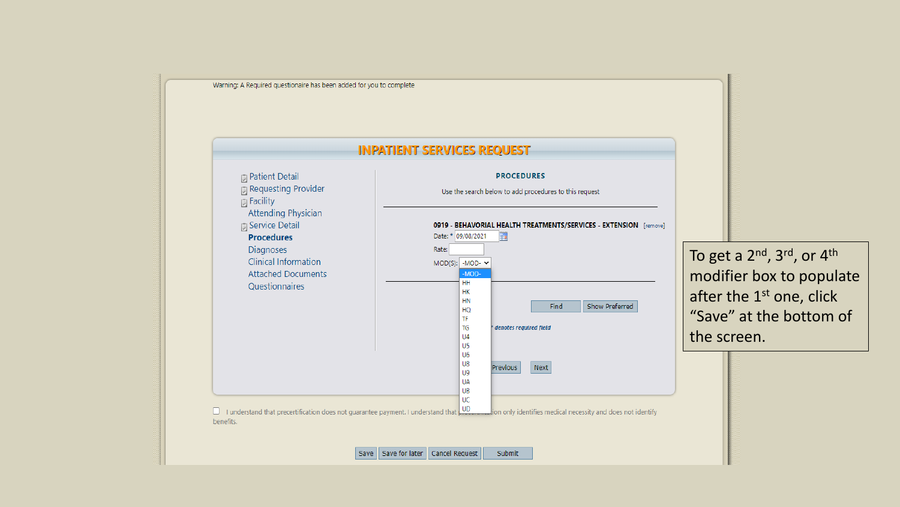

To get a 2<sup>nd</sup>, 3<sup>rd</sup>, or 4<sup>th</sup> modifier box to populate after the 1<sup>st</sup> one, click "Save" at the bottom of the screen.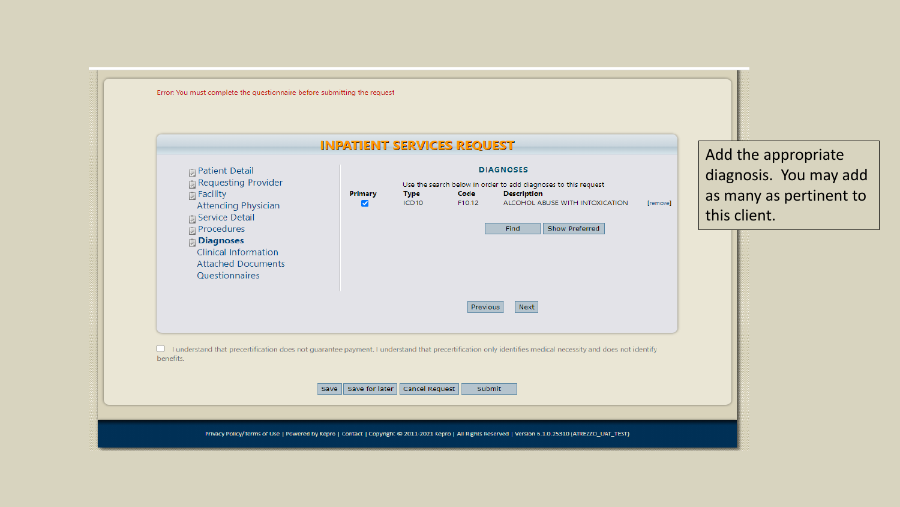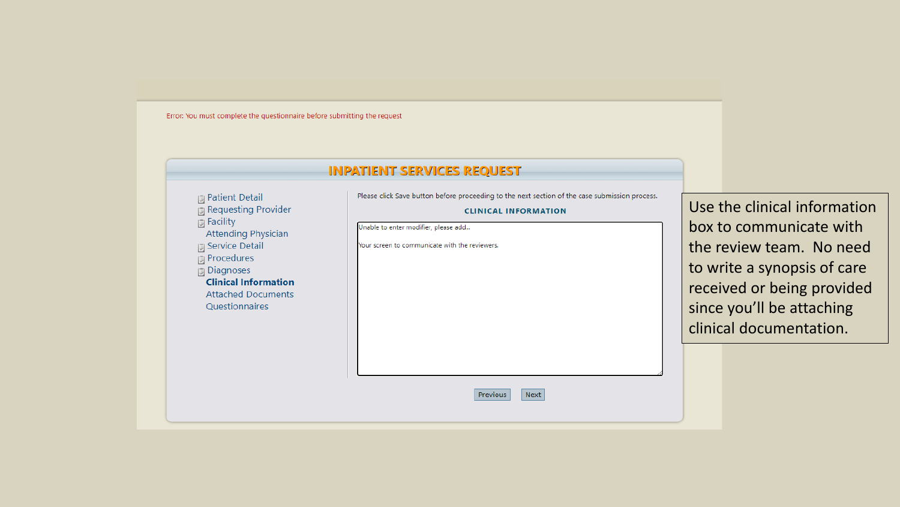Error: You must complete the questionnaire before submitting the request

**D** Patient Detail Requesting Provider

**D** Service Detail

 $\sqrt{2}$  Procedures  $\overline{[1]}$  Diagnoses

Attending Physician

**Clinical Information Attached Documents** Questionnaires

 $\overline{u}$  Facility

#### **INPATIENT SERVICES REQUEST**

Please click Save button before proceeding to the next section of the case submission process.

#### **CLINICAL INFORMATION**

Next

Previous

Unable to enter modifier, please add...

Your screen to communicate with the reviewers.

Use the clinical information box to communicate with the review team. No need to write a synopsis of care received or being provided since you'll be attaching clinical documentation.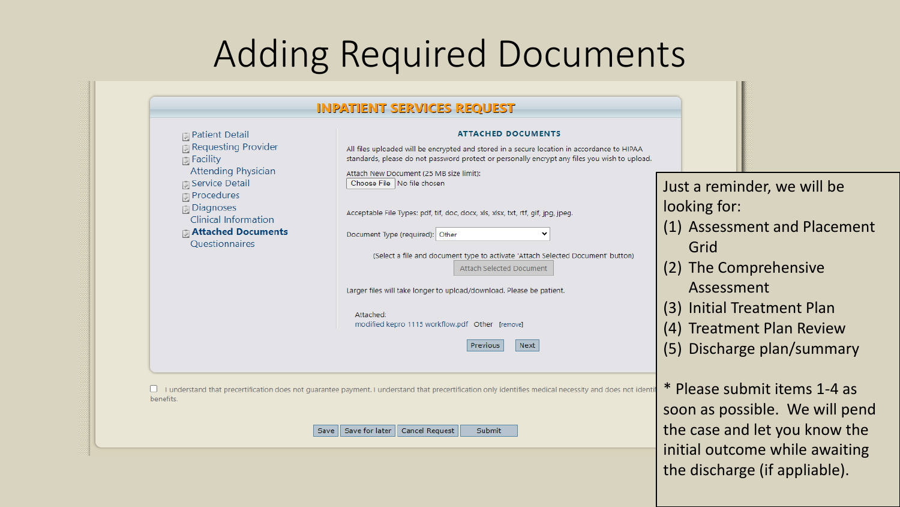## Adding Required Documents

| $\Box$ Patient Detail<br>Requesting Provider<br><b>同 Facility</b><br><b>Attending Physician</b><br><b>D</b> Service Detail<br><b>Procedures</b><br><b>Diagnoses</b><br><b>Clinical Information</b><br><b>同 Attached Documents</b><br>Questionnaires |
|-----------------------------------------------------------------------------------------------------------------------------------------------------------------------------------------------------------------------------------------------------|

the discharge (if appliable).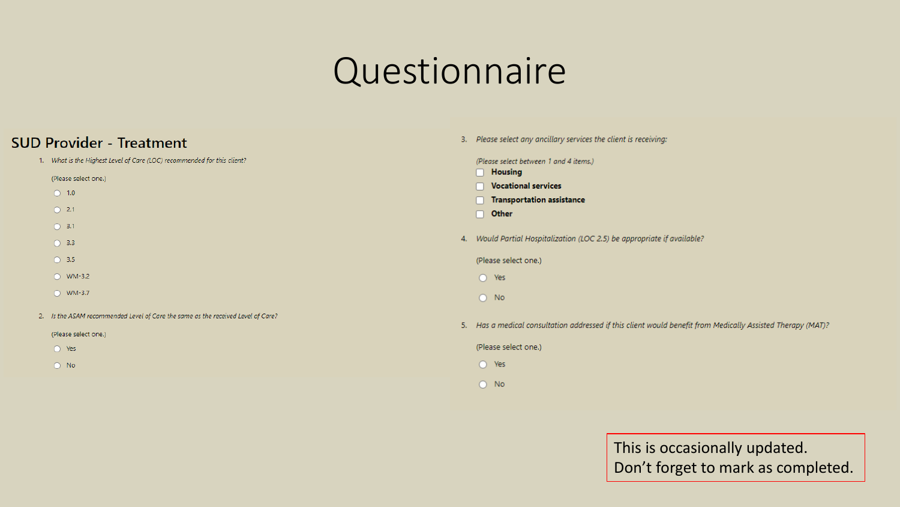#### **Questionnaire**

#### **SUD Provider - Treatment**

 $O$  Yes

 $O$  No

- 1. What is the Highest Level of Care (LOC) recommended for this client?  $\Box$  Housing (Please select one.) Vocational services  $\bigcirc$  1.0 Transportation assistance  $\bigcirc$  2.1  $\Box$  Other  $O$  3.1  $\bigcirc$  3.3  $O$  3.5 (Please select one.)  $\bigcirc$  WM-3.2  $O$  Yes  $O$  WM-3.7  $O$  No 2. Is the ASAM recommended Level of Care the same as the received Level of Care? (Please select one.)
	-
- 3. Please select any ancillary services the client is receiving: (Please select between 1 and 4 items.) 4. Would Partial Hospitalization (LOC 2.5) be appropriate if available? 5. Has a medical consultation addressed if this client would benefit from Medically Assisted Therapy (MAT)? (Please select one.)  $O$  Yes  $\bigcirc$  No

This is occasionally updated. Don't forget to mark as completed.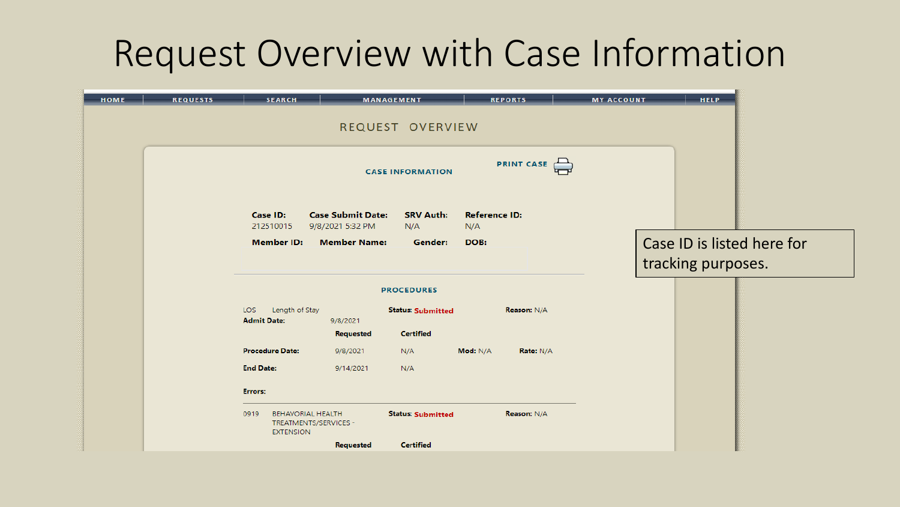### Request Overview with Case Information

| HOME | <b>REQUESTS</b> | <b>SEARCH</b>                                                                 |                          | <b>MANAGEMENT</b>        |                      | <b>REPORTS</b>     | <b>MY ACCOUNT</b> | <b>HELP</b>        |                            |
|------|-----------------|-------------------------------------------------------------------------------|--------------------------|--------------------------|----------------------|--------------------|-------------------|--------------------|----------------------------|
|      |                 |                                                                               |                          | REQUEST OVERVIEW         |                      |                    |                   |                    |                            |
|      |                 |                                                                               |                          |                          |                      |                    |                   |                    |                            |
|      |                 |                                                                               |                          | <b>CASE INFORMATION</b>  |                      | PRINT CASE         |                   |                    |                            |
|      |                 | Case ID:                                                                      | <b>Case Submit Date:</b> | <b>SRV Auth:</b>         | <b>Reference ID:</b> |                    |                   |                    |                            |
|      |                 | 212510015                                                                     | 9/8/2021 5:32 PM         | N/A                      | N/A                  |                    |                   |                    |                            |
|      |                 | <b>Member ID:</b>                                                             | <b>Member Name:</b>      | Gender:                  | DOB:                 |                    |                   |                    | Case ID is listed here for |
|      |                 |                                                                               |                          |                          |                      |                    |                   | tracking purposes. |                            |
|      |                 |                                                                               |                          | <b>PROCEDURES</b>        |                      |                    |                   |                    |                            |
|      |                 | Length of Stay<br>LOS:<br><b>Admit Date:</b>                                  | 9/8/2021                 | <b>Status: Submitted</b> |                      | <b>Reason: N/A</b> |                   |                    |                            |
|      |                 |                                                                               | <b>Requested</b>         | <b>Certified</b>         |                      |                    |                   |                    |                            |
|      |                 | <b>Procedure Date:</b>                                                        | 9/8/2021                 | N/A                      | Mod: N/A             | Rate: N/A          |                   |                    |                            |
|      |                 | <b>End Date:</b>                                                              | 9/14/2021                | N/A                      |                      |                    |                   |                    |                            |
|      |                 | Errors:                                                                       |                          |                          |                      |                    |                   |                    |                            |
|      |                 | <b>BEHAVORIAL HEALTH</b><br>0919<br>TREATMENTS/SERVICES -<br><b>EXTENSION</b> |                          | <b>Status: Submitted</b> |                      | <b>Reason: N/A</b> |                   |                    |                            |
|      |                 |                                                                               | Requested                | <b>Certified</b>         |                      |                    |                   |                    |                            |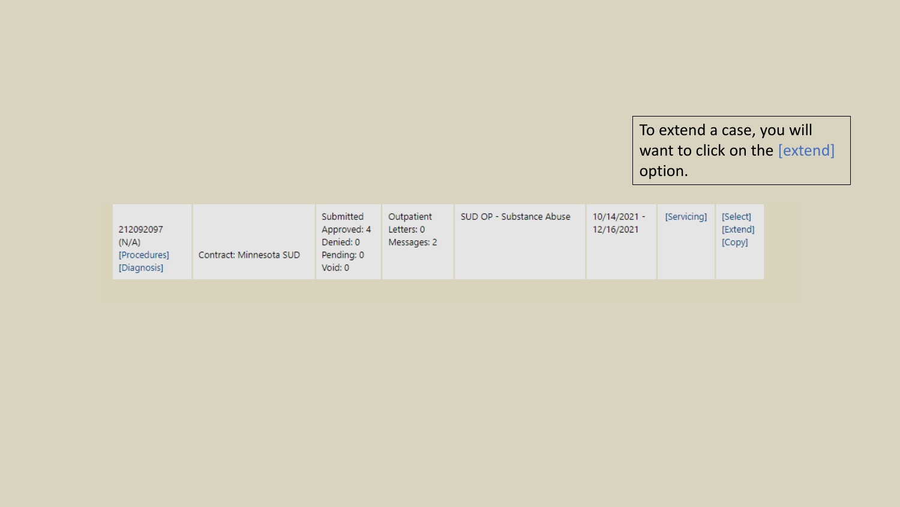To extend a case, you will want to click on the [extend] option.

| 212092097<br>(N/A)<br>Contract: Minnesota SUD<br>[Procedures]<br>[Diagnosis] | Submitted<br>Approved: 4<br>Denied: 0<br>Pending: 0<br>Void: 0 | Outpatient<br>Letters: 0<br>Messages: 2 | SUD OP - Substance Abuse | $10/14/2021 -$<br>12/16/2021 | [Servicing] | [Select]<br>[Extend]<br>[Copy] |
|------------------------------------------------------------------------------|----------------------------------------------------------------|-----------------------------------------|--------------------------|------------------------------|-------------|--------------------------------|
|------------------------------------------------------------------------------|----------------------------------------------------------------|-----------------------------------------|--------------------------|------------------------------|-------------|--------------------------------|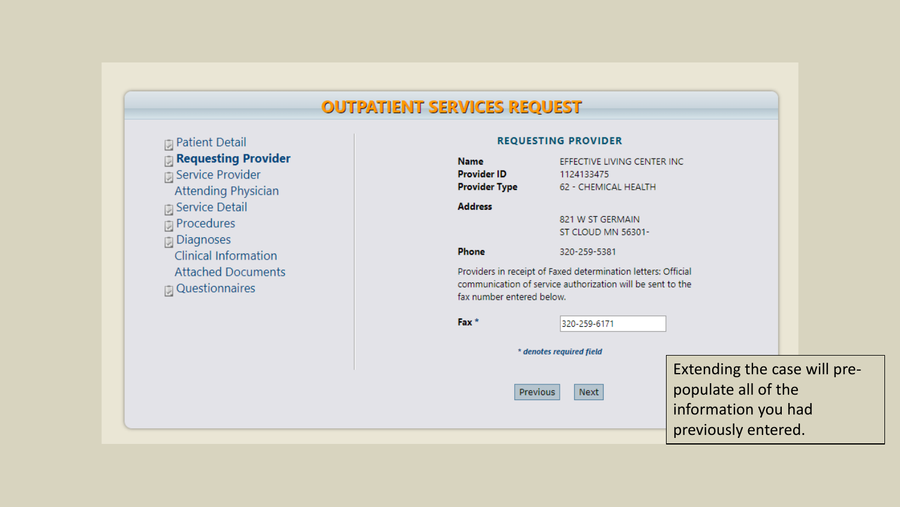#### **OUTPATIENT SERVICES REQUEST**

| <b>J</b> Patient Detail      |
|------------------------------|
| <b>J</b> Requesting Provider |
| <b>J</b> Service Provider    |
| <b>Attending Physician</b>   |
| ្យ Service Detail            |
| <b>Procedures</b>            |
| ្យ Diagnoses                 |
| <b>Clinical Information</b>  |
| <b>Attached Documents</b>    |
| ा Questionnaires             |
|                              |
|                              |

| <b>REQUESTING PROVIDER</b>                                |                                                                                                                             |                                                                                                   |  |
|-----------------------------------------------------------|-----------------------------------------------------------------------------------------------------------------------------|---------------------------------------------------------------------------------------------------|--|
| <b>Name</b><br><b>Provider ID</b><br><b>Provider Type</b> | EFFECTIVE LIVING CENTER INC<br>1124133475<br>62 - CHEMICAL HEALTH                                                           |                                                                                                   |  |
| <b>Address</b>                                            | 821 W ST GERMAIN<br>ST CLOUD MN 56301-                                                                                      |                                                                                                   |  |
| <b>Phone</b>                                              | 320-259-5381                                                                                                                |                                                                                                   |  |
| fax number entered below.                                 | Providers in receipt of Faxed determination letters: Official<br>communication of service authorization will be sent to the |                                                                                                   |  |
| Fax <sup>*</sup>                                          | 320-259-6171                                                                                                                |                                                                                                   |  |
|                                                           | * denotes required field                                                                                                    |                                                                                                   |  |
| <b>Previous</b>                                           | Next                                                                                                                        | Extending the case will pre-<br>populate all of the<br>information you had<br>previously entered. |  |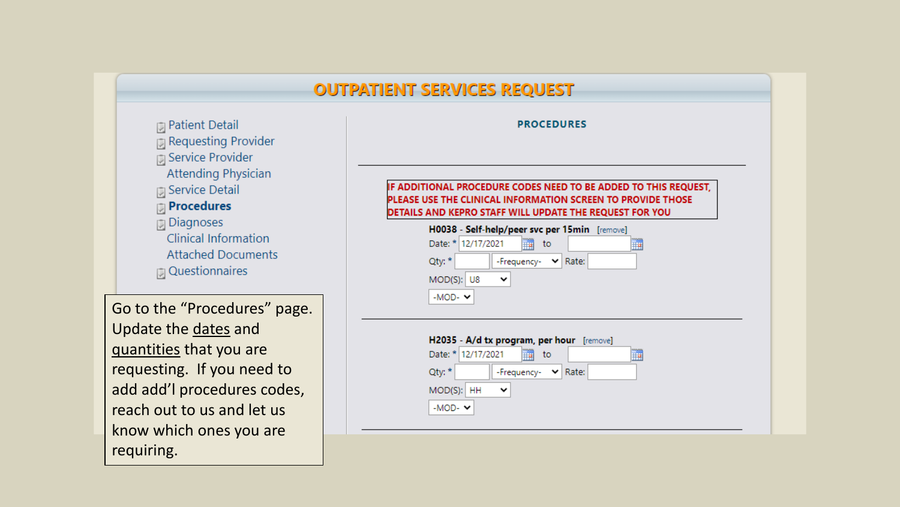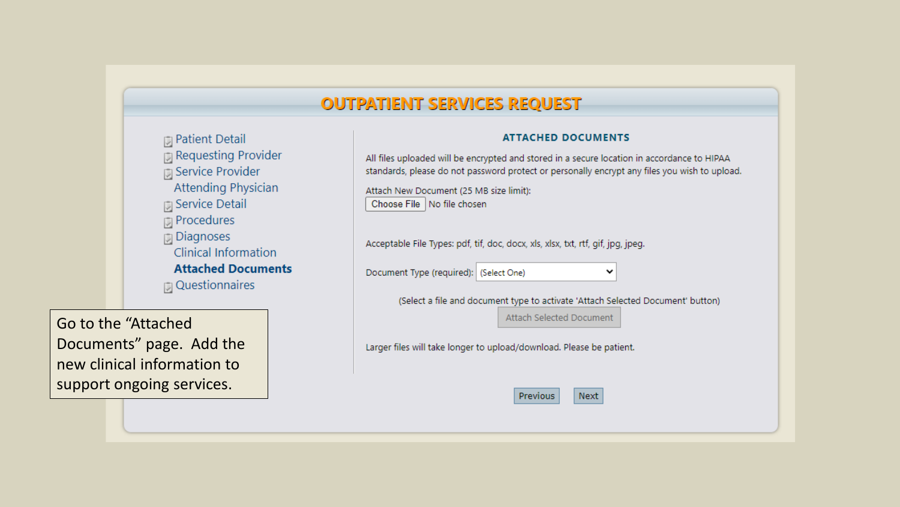#### **OUTPATIENT SERVICES REQUEST**

| 厕 Patient Detail             |
|------------------------------|
| <b>D</b> Requesting Provider |
| 同 Service Provider           |
| <b>Attending Physician</b>   |
| 同 Service Detail             |
| <b>D</b> Procedures          |
| <b>同</b> Diagnoses           |
| <b>Clinical Information</b>  |
| <b>Attached Documents</b>    |
| <b>D</b> Questionnaires      |
|                              |

Go to the "Attached Documents" page. Add the new clinical information to support ongoing services.

#### **ATTACHED DOCUMENTS** All files uploaded will be encrypted and stored in a secure location in accordance to HIPAA standards, please do not password protect or personally encrypt any files you wish to upload. Attach New Document (25 MB size limit): Choose File | No file chosen Acceptable File Types: pdf, tif, doc, docx, xls, xlsx, txt, rtf, gif, jpg, jpeg. Document Type (required): (Select One)  $\checkmark$ (Select a file and document type to activate 'Attach Selected Document' button) Attach Selected Document Larger files will take longer to upload/download. Please be patient. Next Previous